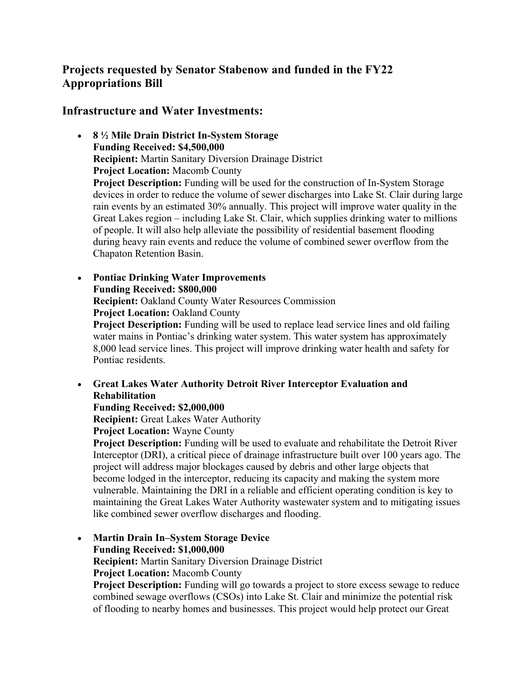# **Projects requested by Senator Stabenow and funded in the FY22 Appropriations Bill**

**Infrastructure and Water Investments:** 

- **8 ½ Mile Drain District In-System Storage Funding Received: \$4,500,000 Recipient:** Martin Sanitary Diversion Drainage District **Project Location:** Macomb County **Project Description:** Funding will be used for the construction of In-System Storage devices in order to reduce the volume of sewer discharges into Lake St. Clair during large rain events by an estimated 30% annually. This project will improve water quality in the Great Lakes region – including Lake St. Clair, which supplies drinking water to millions of people. It will also help alleviate the possibility of residential basement flooding during heavy rain events and reduce the volume of combined sewer overflow from the Chapaton Retention Basin.
- **Pontiac Drinking Water Improvements Funding Received: \$800,000 Recipient:** Oakland County Water Resources Commission **Project Location:** Oakland County **Project Description:** Funding will be used to replace lead service lines and old failing water mains in Pontiac's drinking water system. This water system has approximately 8,000 lead service lines. This project will improve drinking water health and safety for Pontiac residents.
- **Great Lakes Water Authority Detroit River Interceptor Evaluation and Rehabilitation**

**Funding Received: \$2,000,000**

**Recipient:** Great Lakes Water Authority

**Project Location:** Wayne County

**Project Description:** Funding will be used to evaluate and rehabilitate the Detroit River Interceptor (DRI), a critical piece of drainage infrastructure built over 100 years ago. The project will address major blockages caused by debris and other large objects that become lodged in the interceptor, reducing its capacity and making the system more vulnerable. Maintaining the DRI in a reliable and efficient operating condition is key to maintaining the Great Lakes Water Authority wastewater system and to mitigating issues like combined sewer overflow discharges and flooding.

• **Martin Drain In–System Storage Device Funding Received: \$1,000,000 Recipient:** Martin Sanitary Diversion Drainage District

**Project Location:** Macomb County

**Project Description:** Funding will go towards a project to store excess sewage to reduce combined sewage overflows (CSOs) into Lake St. Clair and minimize the potential risk of flooding to nearby homes and businesses. This project would help protect our Great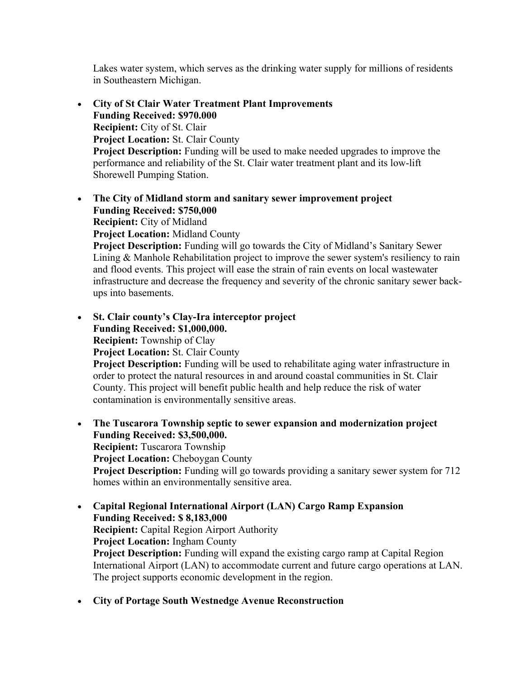Lakes water system, which serves as the drinking water supply for millions of residents in Southeastern Michigan.

- **City of St Clair Water Treatment Plant Improvements Funding Received: \$970.000 Recipient:** City of St. Clair **Project Location:** St. Clair County **Project Description:** Funding will be used to make needed upgrades to improve the performance and reliability of the St. Clair water treatment plant and its low-lift Shorewell Pumping Station.
- **The City of Midland storm and sanitary sewer improvement project Funding Received: \$750,000 Recipient:** City of Midland **Project Location:** Midland County **Project Description:** Funding will go towards the City of Midland's Sanitary Sewer Lining & Manhole Rehabilitation project to improve the sewer system's resiliency to rain and flood events. This project will ease the strain of rain events on local wastewater infrastructure and decrease the frequency and severity of the chronic sanitary sewer backups into basements.
- **St. Clair county's Clay-Ira interceptor project Funding Received: \$1,000,000. Recipient:** Township of Clay **Project Location:** St. Clair County **Project Description:** Funding will be used to rehabilitate aging water infrastructure in order to protect the natural resources in and around coastal communities in St. Clair County. This project will benefit public health and help reduce the risk of water contamination is environmentally sensitive areas.
- **The Tuscarora Township septic to sewer expansion and modernization project Funding Received: \$3,500,000. Recipient:** Tuscarora Township **Project Location:** Cheboygan County **Project Description:** Funding will go towards providing a sanitary sewer system for 712 homes within an environmentally sensitive area.
- **Capital Regional International Airport (LAN) Cargo Ramp Expansion Funding Received: \$ 8,183,000 Recipient:** Capital Region Airport Authority **Project Location:** Ingham County **Project Description:** Funding will expand the existing cargo ramp at Capital Region International Airport (LAN) to accommodate current and future cargo operations at LAN. The project supports economic development in the region.
- **City of Portage South Westnedge Avenue Reconstruction**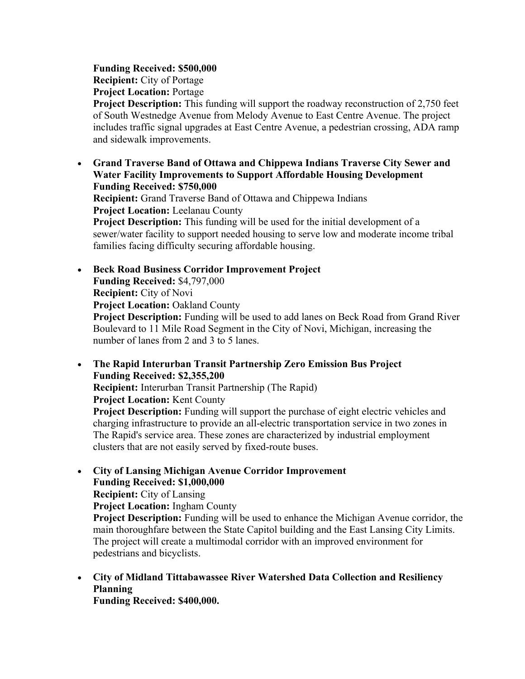#### **Funding Received: \$500,000**

**Recipient:** City of Portage

**Project Location:** Portage

**Project Description:** This funding will support the roadway reconstruction of 2,750 feet of South Westnedge Avenue from Melody Avenue to East Centre Avenue. The project includes traffic signal upgrades at East Centre Avenue, a pedestrian crossing, ADA ramp and sidewalk improvements.

• **Grand Traverse Band of Ottawa and Chippewa Indians Traverse City Sewer and Water Facility Improvements to Support Affordable Housing Development Funding Received: \$750,000 Recipient:** Grand Traverse Band of Ottawa and Chippewa Indians **Project Location:** Leelanau County **Project Description:** This funding will be used for the initial development of a

sewer/water facility to support needed housing to serve low and moderate income tribal families facing difficulty securing affordable housing.

• **Beck Road Business Corridor Improvement Project Funding Received:** \$4,797,000 **Recipient:** City of Novi **Project Location:** Oakland County

**Project Description:** Funding will be used to add lanes on Beck Road from Grand River Boulevard to 11 Mile Road Segment in the City of Novi, Michigan, increasing the number of lanes from 2 and 3 to 5 lanes.

• **The Rapid Interurban Transit Partnership Zero Emission Bus Project Funding Received: \$2,355,200**

**Recipient:** Interurban Transit Partnership (The Rapid)

**Project Location:** Kent County

**Project Description:** Funding will support the purchase of eight electric vehicles and charging infrastructure to provide an all-electric transportation service in two zones in The Rapid's service area. These zones are characterized by industrial employment clusters that are not easily served by fixed-route buses.

• **City of Lansing Michigan Avenue Corridor Improvement Funding Received: \$1,000,000**

**Recipient:** City of Lansing

**Project Location:** Ingham County

**Project Description:** Funding will be used to enhance the Michigan Avenue corridor, the main thoroughfare between the State Capitol building and the East Lansing City Limits. The project will create a multimodal corridor with an improved environment for pedestrians and bicyclists.

• **City of Midland Tittabawassee River Watershed Data Collection and Resiliency Planning** 

**Funding Received: \$400,000.**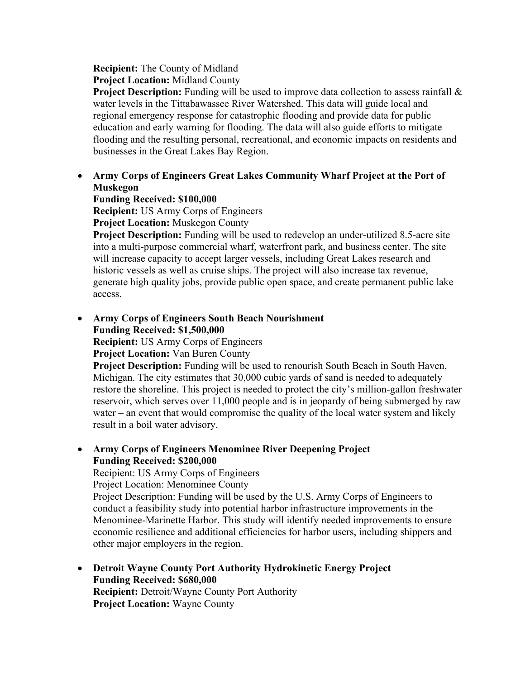# **Recipient:** The County of Midland

**Project Location:** Midland County

**Project Description:** Funding will be used to improve data collection to assess rainfall  $\&$ water levels in the Tittabawassee River Watershed. This data will guide local and regional emergency response for catastrophic flooding and provide data for public education and early warning for flooding. The data will also guide efforts to mitigate flooding and the resulting personal, recreational, and economic impacts on residents and businesses in the Great Lakes Bay Region.

### • **Army Corps of Engineers Great Lakes Community Wharf Project at the Port of Muskegon**

**Funding Received: \$100,000** 

**Recipient:** US Army Corps of Engineers **Project Location:** Muskegon County

**Project Description:** Funding will be used to redevelop an under-utilized 8.5-acre site into a multi-purpose commercial wharf, waterfront park, and business center. The site will increase capacity to accept larger vessels, including Great Lakes research and historic vessels as well as cruise ships. The project will also increase tax revenue, generate high quality jobs, provide public open space, and create permanent public lake access.

• **Army Corps of Engineers South Beach Nourishment Funding Received: \$1,500,000**

**Recipient:** US Army Corps of Engineers

**Project Location:** Van Buren County

**Project Description:** Funding will be used to renourish South Beach in South Haven, Michigan. The city estimates that 30,000 cubic yards of sand is needed to adequately restore the shoreline. This project is needed to protect the city's million-gallon freshwater reservoir, which serves over 11,000 people and is in jeopardy of being submerged by raw water – an event that would compromise the quality of the local water system and likely result in a boil water advisory.

#### • **Army Corps of Engineers Menominee River Deepening Project Funding Received: \$200,000**

Recipient: US Army Corps of Engineers

Project Location: Menominee County

Project Description: Funding will be used by the U.S. Army Corps of Engineers to conduct a feasibility study into potential harbor infrastructure improvements in the Menominee-Marinette Harbor. This study will identify needed improvements to ensure economic resilience and additional efficiencies for harbor users, including shippers and other major employers in the region.

• **Detroit Wayne County Port Authority Hydrokinetic Energy Project Funding Received: \$680,000 Recipient:** Detroit/Wayne County Port Authority **Project Location:** Wayne County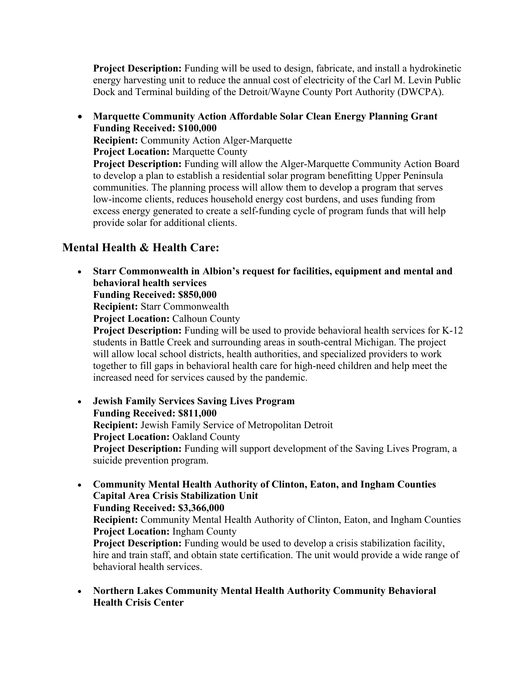**Project Description:** Funding will be used to design, fabricate, and install a hydrokinetic energy harvesting unit to reduce the annual cost of electricity of the Carl M. Levin Public Dock and Terminal building of the Detroit/Wayne County Port Authority (DWCPA).

• **Marquette Community Action Affordable Solar Clean Energy Planning Grant Funding Received: \$100,000 Recipient:** Community Action Alger-Marquette **Project Location:** Marquette County **Project Description:** Funding will allow the Alger-Marquette Community Action Board to develop a plan to establish a residential solar program benefitting Upper Peninsula communities. The planning process will allow them to develop a program that serves low-income clients, reduces household energy cost burdens, and uses funding from excess energy generated to create a self-funding cycle of program funds that will help provide solar for additional clients.

# **Mental Health & Health Care:**

• **Starr Commonwealth in Albion's request for facilities, equipment and mental and behavioral health services Funding Received: \$850,000**

**Recipient:** Starr Commonwealth

**Project Location:** Calhoun County

**Project Description:** Funding will be used to provide behavioral health services for K-12 students in Battle Creek and surrounding areas in south-central Michigan. The project will allow local school districts, health authorities, and specialized providers to work together to fill gaps in behavioral health care for high-need children and help meet the increased need for services caused by the pandemic.

• **Jewish Family Services Saving Lives Program Funding Received: \$811,000 Recipient:** Jewish Family Service of Metropolitan Detroit **Project Location:** Oakland County **Project Description:** Funding will support development of the Saving Lives Program, a suicide prevention program.

- **Community Mental Health Authority of Clinton, Eaton, and Ingham Counties Capital Area Crisis Stabilization Unit Funding Received: \$3,366,000 Recipient:** Community Mental Health Authority of Clinton, Eaton, and Ingham Counties **Project Location:** Ingham County **Project Description:** Funding would be used to develop a crisis stabilization facility, hire and train staff, and obtain state certification. The unit would provide a wide range of behavioral health services.
- **Northern Lakes Community Mental Health Authority Community Behavioral Health Crisis Center**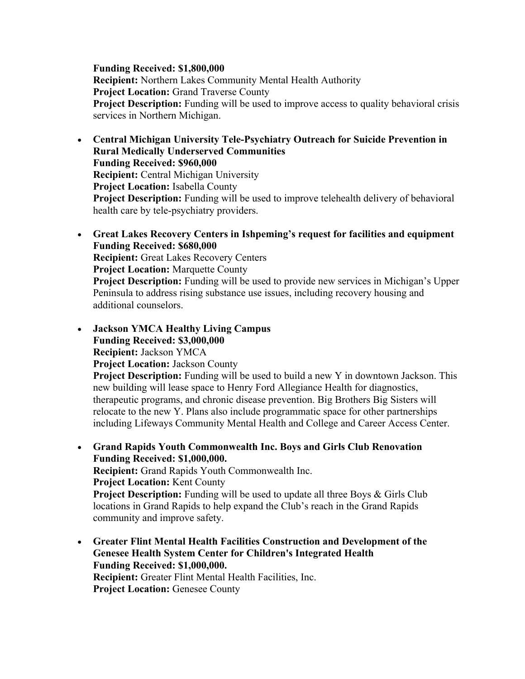#### **Funding Received: \$1,800,000**

**Recipient:** Northern Lakes Community Mental Health Authority **Project Location:** Grand Traverse County **Project Description:** Funding will be used to improve access to quality behavioral crisis services in Northern Michigan.

- **Central Michigan University Tele-Psychiatry Outreach for Suicide Prevention in Rural Medically Underserved Communities Funding Received: \$960,000 Recipient:** Central Michigan University **Project Location:** Isabella County **Project Description:** Funding will be used to improve telehealth delivery of behavioral health care by tele-psychiatry providers.
- **Great Lakes Recovery Centers in Ishpeming's request for facilities and equipment Funding Received: \$680,000 Recipient:** Great Lakes Recovery Centers **Project Location:** Marquette County **Project Description:** Funding will be used to provide new services in Michigan's Upper Peninsula to address rising substance use issues, including recovery housing and additional counselors.
- **Jackson YMCA Healthy Living Campus Funding Received: \$3,000,000 Recipient:** Jackson YMCA **Project Location:** Jackson County **Project Description:** Funding will be used to build a new Y in downtown Jackson. This

new building will lease space to Henry Ford Allegiance Health for diagnostics, therapeutic programs, and chronic disease prevention. Big Brothers Big Sisters will relocate to the new Y. Plans also include programmatic space for other partnerships including Lifeways Community Mental Health and College and Career Access Center.

- **Grand Rapids Youth Commonwealth Inc. Boys and Girls Club Renovation Funding Received: \$1,000,000. Recipient:** Grand Rapids Youth Commonwealth Inc. **Project Location:** Kent County **Project Description:** Funding will be used to update all three Boys & Girls Club locations in Grand Rapids to help expand the Club's reach in the Grand Rapids community and improve safety.
- **Greater Flint Mental Health Facilities Construction and Development of the Genesee Health System Center for Children's Integrated Health Funding Received: \$1,000,000. Recipient:** Greater Flint Mental Health Facilities, Inc. **Project Location:** Genesee County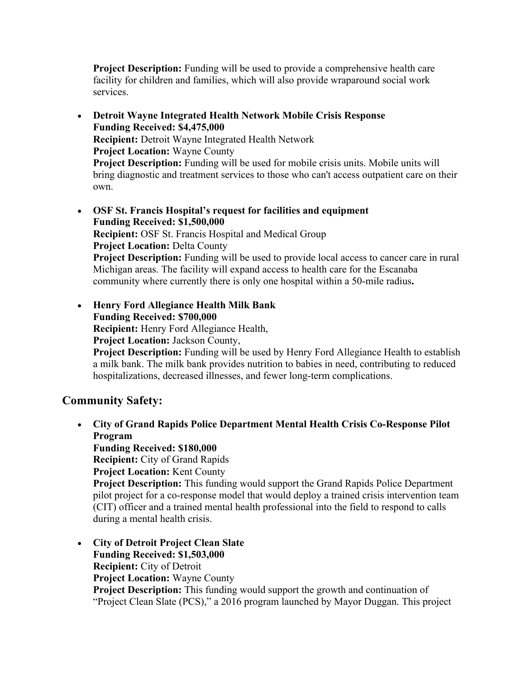**Project Description:** Funding will be used to provide a comprehensive health care facility for children and families, which will also provide wraparound social work services.

- **Detroit Wayne Integrated Health Network Mobile Crisis Response Funding Received: \$4,475,000 Recipient:** Detroit Wayne Integrated Health Network **Project Location:** Wayne County **Project Description:** Funding will be used for mobile crisis units. Mobile units will bring diagnostic and treatment services to those who can't access outpatient care on their own.
- **OSF St. Francis Hospital's request for facilities and equipment Funding Received: \$1,500,000 Recipient:** OSF St. Francis Hospital and Medical Group **Project Location:** Delta County **Project Description:** Funding will be used to provide local access to cancer care in rural Michigan areas. The facility will expand access to health care for the Escanaba community where currently there is only one hospital within a 50-mile radius**.**

• **Henry Ford Allegiance Health Milk Bank Funding Received: \$700,000 Recipient:** Henry Ford Allegiance Health, **Project Location:** Jackson County, **Project Description:** Funding will be used by Henry Ford Allegiance Health to establish a milk bank. The milk bank provides nutrition to babies in need, contributing to reduced hospitalizations, decreased illnesses, and fewer long-term complications.

# **Community Safety:**

- **City of Grand Rapids Police Department Mental Health Crisis Co-Response Pilot Program Funding Received: \$180,000 Recipient:** City of Grand Rapids **Project Location:** Kent County **Project Description:** This funding would support the Grand Rapids Police Department pilot project for a co-response model that would deploy a trained crisis intervention team (CIT) officer and a trained mental health professional into the field to respond to calls during a mental health crisis.
- **City of Detroit Project Clean Slate Funding Received: \$1,503,000 Recipient:** City of Detroit **Project Location:** Wayne County **Project Description:** This funding would support the growth and continuation of "Project Clean Slate (PCS)," a 2016 program launched by Mayor Duggan. This project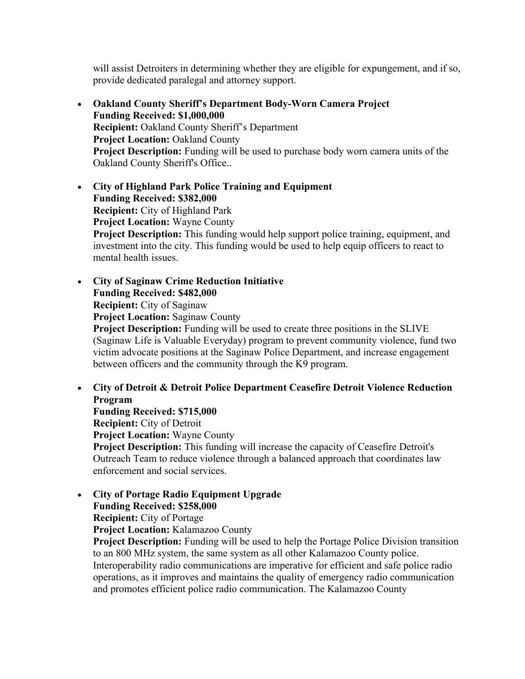will assist Detroiters in determining whether they are eligible for expungement, and if so, provide dedicated paralegal and attorney support.

- **Oakland County Sheriff's Department Body-Worn Camera Project Funding Received: \$1,000,000 Recipient:** Oakland County Sheriff's Department **Project Location:** Oakland County **Project Description:** Funding will be used to purchase body worn camera units of the Oakland County Sheriff's Office..
- **City of Highland Park Police Training and Equipment Funding Received: \$382,000 Recipient:** City of Highland Park **Project Location:** Wayne County **Project Description:** This funding would help support police training, equipment, and investment into the city. This funding would be used to help equip officers to react to mental health issues.

• **City of Saginaw Crime Reduction Initiative Funding Received: \$482,000 Recipient:** City of Saginaw **Project Location:** Saginaw County **Project Description:** Funding will be used to create three positions in the SLIVE (Saginaw Life is Valuable Everyday) program to prevent community violence, fund two victim advocate positions at the Saginaw Police Department, and increase engagement between officers and the community through the K9 program.

• **City of Detroit & Detroit Police Department Ceasefire Detroit Violence Reduction Program** 

**Funding Received: \$715,000 Recipient:** City of Detroit **Project Location:** Wayne County **Project Description:** This funding will increase the capacity of Ceasefire Detroit's Outreach Team to reduce violence through a balanced approach that coordinates law enforcement and social services.

• **City of Portage Radio Equipment Upgrade Funding Received: \$258,000**

**Recipient:** City of Portage

**Project Location:** Kalamazoo County

**Project Description:** Funding will be used to help the Portage Police Division transition to an 800 MHz system, the same system as all other Kalamazoo County police. Interoperability radio communications are imperative for efficient and safe police radio operations, as it improves and maintains the quality of emergency radio communication and promotes efficient police radio communication. The Kalamazoo County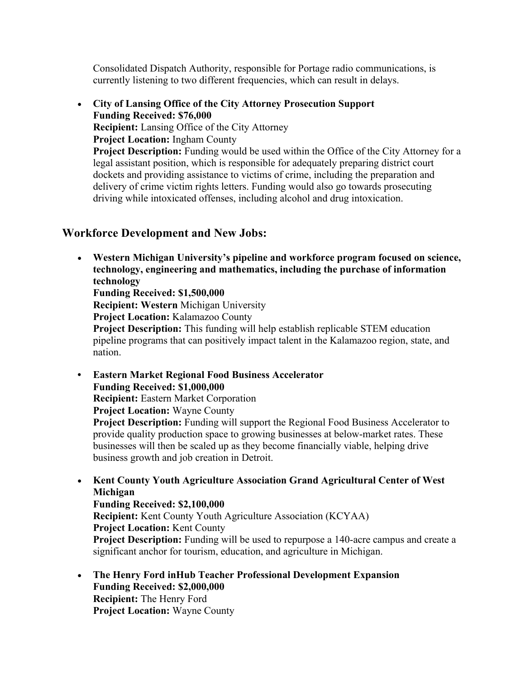Consolidated Dispatch Authority, responsible for Portage radio communications, is currently listening to two different frequencies, which can result in delays.

• **City of Lansing Office of the City Attorney Prosecution Support Funding Received: \$76,000 Recipient:** Lansing Office of the City Attorney **Project Location:** Ingham County **Project Description:** Funding would be used within the Office of the City Attorney for a legal assistant position, which is responsible for adequately preparing district court dockets and providing assistance to victims of crime, including the preparation and delivery of crime victim rights letters. Funding would also go towards prosecuting driving while intoxicated offenses, including alcohol and drug intoxication.

## **Workforce Development and New Jobs:**

• **Western Michigan University's pipeline and workforce program focused on science, technology, engineering and mathematics, including the purchase of information technology Funding Received: \$1,500,000**

**Recipient: Western** Michigan University

**Project Location:** Kalamazoo County

**Project Description:** This funding will help establish replicable STEM education pipeline programs that can positively impact talent in the Kalamazoo region, state, and nation.

**• Eastern Market Regional Food Business Accelerator Funding Received: \$1,000,000 Recipient:** Eastern Market Corporation **Project Location:** Wayne County **Project Description:** Funding will support the Regional Food Business Accelerator to provide quality production space to growing businesses at below-market rates. These businesses will then be scaled up as they become financially viable, helping drive business growth and job creation in Detroit.

• **Kent County Youth Agriculture Association Grand Agricultural Center of West Michigan Funding Received: \$2,100,000 Recipient:** Kent County Youth Agriculture Association (KCYAA) **Project Location:** Kent County **Project Description:** Funding will be used to repurpose a 140-acre campus and create a significant anchor for tourism, education, and agriculture in Michigan.

• **The Henry Ford inHub Teacher Professional Development Expansion Funding Received: \$2,000,000 Recipient:** The Henry Ford **Project Location:** Wayne County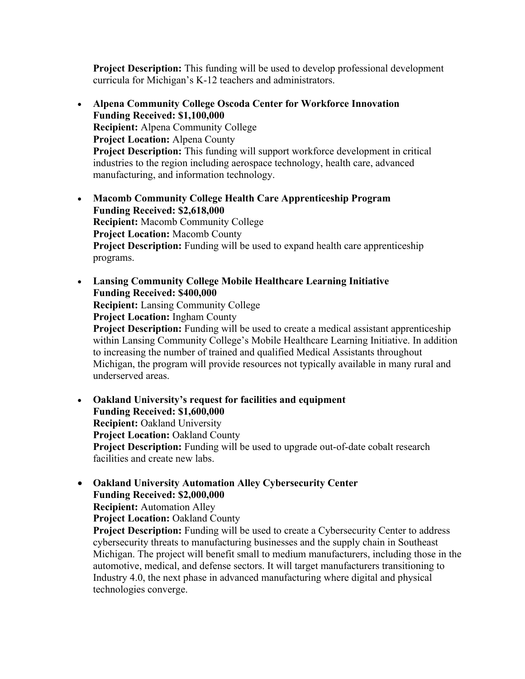**Project Description:** This funding will be used to develop professional development curricula for Michigan's K-12 teachers and administrators.

- **Alpena Community College Oscoda Center for Workforce Innovation Funding Received: \$1,100,000 Recipient:** Alpena Community College **Project Location:** Alpena County **Project Description:** This funding will support workforce development in critical industries to the region including aerospace technology, health care, advanced manufacturing, and information technology.
- **Macomb Community College Health Care Apprenticeship Program Funding Received: \$2,618,000 Recipient:** Macomb Community College **Project Location:** Macomb County **Project Description:** Funding will be used to expand health care apprenticeship programs.
- **Lansing Community College Mobile Healthcare Learning Initiative Funding Received: \$400,000**

**Recipient:** Lansing Community College

**Project Location:** Ingham County

**Project Description:** Funding will be used to create a medical assistant apprenticeship within Lansing Community College's Mobile Healthcare Learning Initiative. In addition to increasing the number of trained and qualified Medical Assistants throughout Michigan, the program will provide resources not typically available in many rural and underserved areas.

- **Oakland University's request for facilities and equipment Funding Received: \$1,600,000 Recipient:** Oakland University **Project Location:** Oakland County **Project Description:** Funding will be used to upgrade out-of-date cobalt research facilities and create new labs.
- **Oakland University Automation Alley Cybersecurity Center Funding Received: \$2,000,000 Recipient:** Automation Alley **Project Location:** Oakland County **Project Description:** Funding will be used to create a Cybersecurity Center to address cybersecurity threats to manufacturing businesses and the supply chain in Southeast Michigan. The project will benefit small to medium manufacturers, including those in the automotive, medical, and defense sectors. It will target manufacturers transitioning to Industry 4.0, the next phase in advanced manufacturing where digital and physical technologies converge.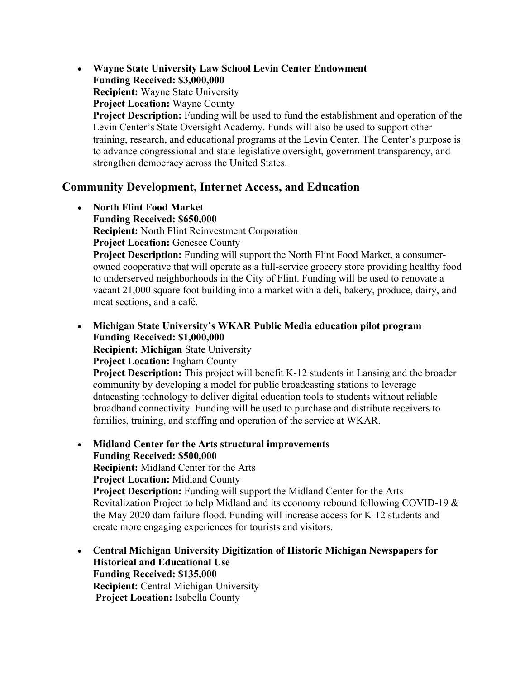• **Wayne State University Law School Levin Center Endowment Funding Received: \$3,000,000 Recipient:** Wayne State University **Project Location:** Wayne County **Project Description:** Funding will be used to fund the establishment and operation of the Levin Center's State Oversight Academy. Funds will also be used to support other training, research, and educational programs at the Levin Center. The Center's purpose is to advance congressional and state legislative oversight, government transparency, and strengthen democracy across the United States.

## **Community Development, Internet Access, and Education**

- **North Flint Food Market Funding Received: \$650,000 Recipient:** North Flint Reinvestment Corporation **Project Location:** Genesee County **Project Description:** Funding will support the North Flint Food Market, a consumerowned cooperative that will operate as a full-service grocery store providing healthy food to underserved neighborhoods in the City of Flint. Funding will be used to renovate a vacant 21,000 square foot building into a market with a deli, bakery, produce, dairy, and meat sections, and a café.
- **Michigan State University's WKAR Public Media education pilot program Funding Received: \$1,000,000**

**Recipient: Michigan** State University

**Project Location:** Ingham County

**Project Description:** This project will benefit K-12 students in Lansing and the broader community by developing a model for public broadcasting stations to leverage datacasting technology to deliver digital education tools to students without reliable broadband connectivity. Funding will be used to purchase and distribute receivers to families, training, and staffing and operation of the service at WKAR.

- **Midland Center for the Arts structural improvements Funding Received: \$500,000 Recipient:** Midland Center for the Arts **Project Location:** Midland County **Project Description:** Funding will support the Midland Center for the Arts Revitalization Project to help Midland and its economy rebound following COVID-19 & the May 2020 dam failure flood. Funding will increase access for K-12 students and create more engaging experiences for tourists and visitors.
- **Central Michigan University Digitization of Historic Michigan Newspapers for Historical and Educational Use Funding Received: \$135,000 Recipient:** Central Michigan University **Project Location:** Isabella County